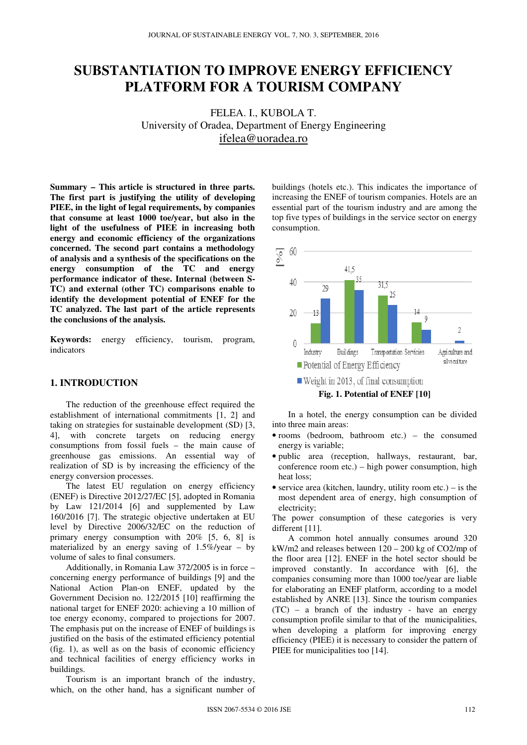# **SUBSTANTIATION TO IMPROVE ENERGY EFFICIENCY PLATFORM FOR A TOURISM COMPANY**

FELEA. I., KUBOLA T. University of Oradea, Department of Energy Engineering ifelea@uoradea.ro

**Summary – This article is structured in three parts. The first part is justifying the utility of developing PIEE, in the light of legal requirements, by companies that consume at least 1000 toe/year, but also in the light of the usefulness of PIEE in increasing both energy and economic efficiency of the organizations concerned. The second part contains a methodology of analysis and a synthesis of the specifications on the energy consumption of the TC and energy performance indicator of these. Internal (between S-TC) and external (other TC) comparisons enable to identify the development potential of ENEF for the TC analyzed. The last part of the article represents the conclusions of the analysis.** 

**Keywords:** energy efficiency, tourism, program, indicators

# **1. INTRODUCTION**

The reduction of the greenhouse effect required the establishment of international commitments [1, 2] and taking on strategies for sustainable development (SD) [3, 4], with concrete targets on reducing energy consumptions from fossil fuels – the main cause of greenhouse gas emissions. An essential way of realization of SD is by increasing the efficiency of the energy conversion processes.

The latest EU regulation on energy efficiency (ENEF) is Directive 2012/27/EC [5], adopted in Romania by Law 121/2014 [6] and supplemented by Law 160/2016 [7]. The strategic objective undertaken at EU level by Directive 2006/32/EC on the reduction of primary energy consumption with 20% [5, 6, 8] is materialized by an energy saving of 1.5%/year – by volume of sales to final consumers.

Additionally, in Romania Law 372/2005 is in force – concerning energy performance of buildings [9] and the National Action Plan-on ENEF, updated by the Government Decision no. 122/2015 [10] reaffirming the national target for ENEF 2020: achieving a 10 million of toe energy economy, compared to projections for 2007. The emphasis put on the increase of ENEF of buildings is justified on the basis of the estimated efficiency potential (fig. 1), as well as on the basis of economic efficiency and technical facilities of energy efficiency works in buildings.

Tourism is an important branch of the industry, which, on the other hand, has a significant number of

buildings (hotels etc.). This indicates the importance of increasing the ENEF of tourism companies. Hotels are an essential part of the tourism industry and are among the top five types of buildings in the service sector on energy consumption.



**Fig. 1. Potential of ENEF [10]** 

In a hotel, the energy consumption can be divided into three main areas:

- rooms (bedroom, bathroom etc.) the consumed energy is variable;
- public area (reception, hallways, restaurant, bar, conference room etc.) – high power consumption, high heat loss;
- service area (kitchen, laundry, utility room etc.) is the most dependent area of energy, high consumption of electricity;

The power consumption of these categories is very different [11].

A common hotel annually consumes around 320 kW/m2 and releases between  $120 - 200$  kg of CO2/mp of the floor area [12]. ENEF in the hotel sector should be improved constantly. In accordance with [6], the companies consuming more than 1000 toe/year are liable for elaborating an ENEF platform, according to a model established by ANRE [13]. Since the tourism companies (TC) – a branch of the industry - have an energy consumption profile similar to that of the municipalities, when developing a platform for improving energy efficiency (PIEE) it is necessary to consider the pattern of PIEE for municipalities too [14].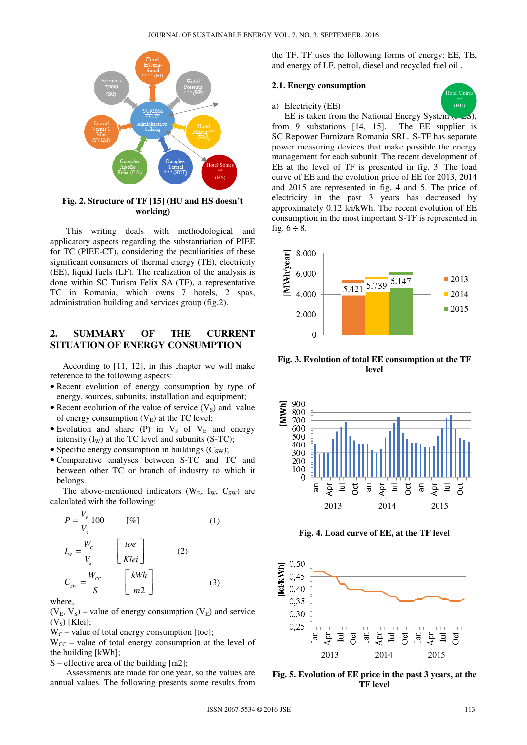

**Fig. 2. Structure of TF [15] (HU and HS doesn't working)** 

This writing deals with methodological and applicatory aspects regarding the substantiation of PIEE for TC (PIEE-CT), considering the peculiarities of these significant consumers of thermal energy (TE), electricity (EE), liquid fuels (LF). The realization of the analysis is done within SC Turism Felix SA (TF), a representative TC in Romania, which owns 7 hotels, 2 spas, administration building and services group (fig.2).

## **2. SUMMARY OF THE CURRENT SITUATION OF ENERGY CONSUMPTION**

According to [11, 12], in this chapter we will make reference to the following aspects:

- Recent evolution of energy consumption by type of energy, sources, subunits, installation and equipment;
- Recent evolution of the value of service  $(V<sub>S</sub>)$  and value of energy consumption  $(V_E)$  at the TC level;
- Evolution and share (P) in  $V_S$  of  $V_E$  and energy intensity  $(I_W)$  at the TC level and subunits (S-TC);
- Specific energy consumption in buildings  $(C_{SW})$ ;
- Comparative analyses between S-TC and TC and between other TC or branch of industry to which it belongs.

The above-mentioned indicators ( $W_E$ ,  $I_W$ ,  $C_{SW}$ ) are calculated with the following:

$$
P = \frac{V_{E}}{V_{S}} 100 \qquad [\%]
$$
 (1)  

$$
I_{w} = \frac{W_{C}}{V_{S}} \qquad \left[\frac{toe}{Klei}\right]
$$
 (2)  

$$
C_{sw} = \frac{W_{CC}}{S} \qquad \left[\frac{kWh}{m2}\right]
$$
 (3)

where,

 $(V<sub>E</sub>, V<sub>S</sub>)$  – value of energy consumption  $(V<sub>E</sub>)$  and service  $(V<sub>S</sub>)$  [Klei];

 $W_C$  – value of total energy consumption [toe];

 $W_{CC}$  – value of total energy consumption at the level of the building [kWh];

S – effective area of the building [m2];

Assessments are made for one year, so the values are annual values. The following presents some results from the TF. TF uses the following forms of energy: EE, TE, and energy of LF, petrol, diesel and recycled fuel oil .

## **2.1. Energy consumption**

#### a) Electricity (EE)



EE is taken from the National Energy System  $(x, 0.5)$ , from 9 substations [14, 15]. The EE supplier is SC Repower Furnizare Romania SRL. S-TF has separate power measuring devices that make possible the energy management for each subunit. The recent development of EE at the level of TF is presented in fig. 3. The load curve of EE and the evolution price of EE for 2013, 2014 and 2015 are represented in fig. 4 and 5. The price of electricity in the past 3 years has decreased by approximately 0.12 lei/kWh. The recent evolution of EE consumption in the most important S-TF is represented in fig.  $6 \div 8$ .



**Fig. 3. Evolution of total EE consumption at the TF level** 



**Fig. 4. Load curve of EE, at the TF level** 



**Fig. 5. Evolution of EE price in the past 3 years, at the TF level**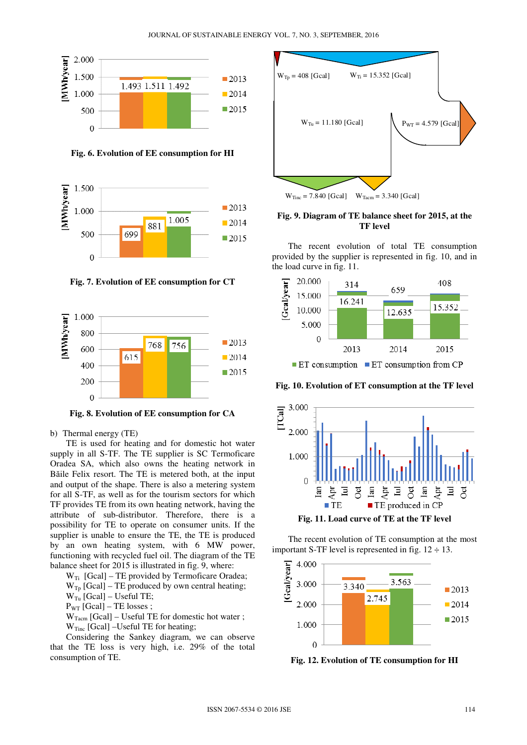

**Fig. 6. Evolution of EE consumption for HI** 



**Fig. 7. Evolution of EE consumption for CT** 



**Fig. 8. Evolution of EE consumption for CA** 

#### b) Thermal energy (TE)

TE is used for heating and for domestic hot water supply in all S-TF. The TE supplier is SC Termoficare Oradea SA, which also owns the heating network in Băile Felix resort. The TE is metered both, at the input and output of the shape. There is also a metering system for all S-TF, as well as for the tourism sectors for which TF provides TE from its own heating network, having the attribute of sub-distributor. Therefore, there is a possibility for TE to operate on consumer units. If the supplier is unable to ensure the TE, the TE is produced by an own heating system, with 6 MW power, functioning with recycled fuel oil. The diagram of the TE balance sheet for 2015 is illustrated in fig. 9, where:

- $W_{Tp}$  [Gcal] TE produced by own central heating;  $W_{Tu}$  [Gcal] – Useful TE;
- $P_{WT}$  [Gcal] TE losses ;
- $W_{Tacm}$  [Gcal] Useful TE for domestic hot water;
- $W_{Tinc}$  [Gcal] –Useful TE for heating;

Considering the Sankey diagram, we can observe that the TE loss is very high, i.e. 29% of the total consumption of TE.



**Fig. 9. Diagram of TE balance sheet for 2015, at the TF level** 

The recent evolution of total TE consumption provided by the supplier is represented in fig. 10, and in the load curve in fig. 11.



 $\blacksquare$  ET consumption  $\blacksquare$  ET consumption from CP

**Fig. 10. Evolution of ET consumption at the TF level** 



**Fig. 11. Load curve of TE at the TF level** 

The recent evolution of TE consumption at the most important S-TF level is represented in fig.  $12 \div 13$ .



**Fig. 12. Evolution of TE consumption for HI** 

 $W_{Ti}$  [Gcal] – TE provided by Termoficare Oradea;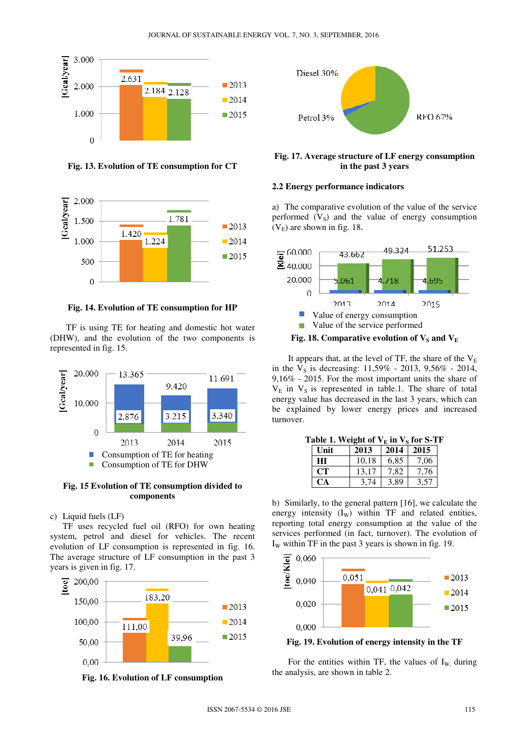

**Fig. 13. Evolution of TE consumption for CT** 



**Fig. 14. Evolution of TE consumption for HP** 

TF is using TE for heating and domestic hot water (DHW), and the evolution of the two components is represented in fig. 15.



**Fig. 15 Evolution of TE consumption divided to components** 

#### c) Liquid fuels (LF)

 TF uses recycled fuel oil (RFO) for own heating system, petrol and diesel for vehicles. The recent evolution of LF consumption is represented in fig. 16. The average structure of LF consumption in the past 3 years is given in fig. 17.



**Fig. 16. Evolution of LF consumption** 



**Fig. 17. Average structure of LF energy consumption in the past 3 years** 

### **2.2 Energy performance indicators**

a) The comparative evolution of the value of the service performed  $(V<sub>S</sub>)$  and the value of energy consumption  $(V<sub>E</sub>)$  are shown in fig. 18.



It appears that, at the level of TF, the share of the  $V<sub>E</sub>$ in the  $V_s$  is decreasing: 11,59% - 2013, 9,56% - 2014, 9,16% - 2015. For the most important units the share of  $V<sub>E</sub>$  in  $V<sub>S</sub>$  is represented in table.1. The share of total energy value has decreased in the last 3 years, which can be explained by lower energy prices and increased turnover.

| <b>LADIC 1. WEIGHT OF VEHI VS TOL 5-1</b> . |           |       |      |      |  |
|---------------------------------------------|-----------|-------|------|------|--|
|                                             | Unit      | 2013  |      | 2015 |  |
|                                             | HІ        | 10.18 | 6,85 | 7,06 |  |
|                                             | <b>CT</b> | 13,17 | 7,82 | 7,76 |  |
|                                             | CA        | 3,74  | 3,89 | 3,57 |  |

 $T_2$ **ble 1.** Weight of  $V_n$  in  $V_2$  for S-TF

b) Similarly, to the general pattern [16], we calculate the energy intensity  $(I_W)$  within TF and related entities, reporting total energy consumption at the value of the services performed (in fact, turnover). The evolution of  $I_w$  within TF in the past 3 years is shown in fig. 19.



**Fig. 19. Evolution of energy intensity in the TF** 

For the entities within TF, the values of  $I_{W}$ , during the analysis, are shown in table 2.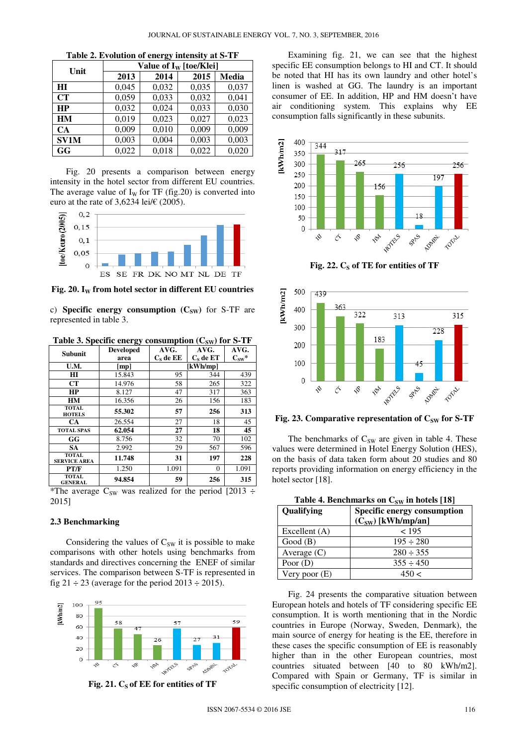|  | Table 2. Evolution of energy intensity at S-TF |  |  |  |  |
|--|------------------------------------------------|--|--|--|--|
|--|------------------------------------------------|--|--|--|--|

| Unit        | Value of $I_W$ [toe/Klei] |       |       |       |
|-------------|---------------------------|-------|-------|-------|
|             | 2013                      | 2014  | 2015  | Media |
| HI          | 0,045                     | 0,032 | 0,035 | 0,037 |
| <b>CT</b>   | 0,059                     | 0,033 | 0,032 | 0,041 |
| <b>HP</b>   | 0,032                     | 0,024 | 0,033 | 0,030 |
| <b>HM</b>   | 0,019                     | 0,023 | 0,027 | 0,023 |
| CA          | 0,009                     | 0,010 | 0,009 | 0,009 |
| <b>SV1M</b> | 0,003                     | 0,004 | 0,003 | 0,003 |
| GG          | 0,022                     | 0,018 | 0,022 | 0,020 |

Fig. 20 presents a comparison between energy intensity in the hotel sector from different EU countries. The average value of  $I_W$  for TF (fig.20) is converted into euro at the rate of 3,6234 lei/ $\epsilon$  (2005).



**Fig. 20. IW from hotel sector in different EU countries** 

c) **Specific energy consumption**  $(C_{SW})$  for S-TF are represented in table 3.

Table 3. Specific energy consumption (C<sub>SW</sub>) for S-TF

| <b>Subunit</b>                      | <b>Developed</b> | AVG.        | AVG.        | AVG.           |
|-------------------------------------|------------------|-------------|-------------|----------------|
|                                     | area             | $C_s$ de EE | $C_s$ de ET | $C_{\rm sw}$ * |
| U.M.                                | [mp]             |             | [kWh/mp]    |                |
| H I                                 | 15.843           | 95          | 344         | 439            |
| <b>CT</b>                           | 14.976           | 58          | 265         | 322            |
| HP                                  | 8.127            | 47          | 317         | 363            |
| HM                                  | 16.356           | 26          | 156         | 183            |
| <b>TOTAL</b><br><b>HOTELS</b>       | 55.302           | 57          | 256         | 313            |
| <b>CA</b>                           | 26.554           | 27          | 18          | 45             |
| <b>TOTAL SPAS</b>                   | 62.054           | 27          | 18          | 45             |
| GG                                  | 8.756            | 32          | 70          | 102            |
| <b>SA</b>                           | 2.992            | 29          | 567         | 596            |
| <b>TOTAL</b><br><b>SERVICE AREA</b> | 11.748           | 31          | 197         | 228            |
| PT/F                                | 1.250            | 1.091       | $\Omega$    | 1.091          |
| <b>TOTAL</b><br><b>GENERAL</b>      | 94.854           | 59          | 256         | 315            |

\*The average C<sub>SW</sub> was realized for the period [2013 ÷ 2015]

### **2.3 Benchmarking**

Considering the values of  $C_{SW}$  it is possible to make comparisons with other hotels using benchmarks from standards and directives concerning the ENEF of similar services. The comparison between S-TF is represented in fig  $21 \div 23$  (average for the period  $2013 \div 2015$ ).



Fig. 21. C<sub>s</sub> of EE for entities of TF

Examining fig. 21, we can see that the highest specific EE consumption belongs to HI and CT. It should be noted that HI has its own laundry and other hotel's linen is washed at GG. The laundry is an important consumer of EE. In addition, HP and HM doesn't have air conditioning system. This explains why EE consumption falls significantly in these subunits.



Fig. 22. C<sub>S</sub> of TE for entities of TF



**Fig. 23. Comparative representation of C<sub>SW</sub> for S-TF** 

The benchmarks of  $C_{SW}$  are given in table 4. These values were determined in Hotel Energy Solution (HES), on the basis of data taken form about 20 studies and 80 reports providing information on energy efficiency in the hotel sector [18].

| Table 4. Benchmarks on $C_{SW}$ in hotels [18] |                             |  |  |
|------------------------------------------------|-----------------------------|--|--|
| Qualifying                                     | Specific energy consumption |  |  |
|                                                | $(C_{SW})$ [kWh/mp/an]      |  |  |
| Excellent (A)                                  | < 195                       |  |  |
| Good(B)                                        | $195 \div 280$              |  |  |
| Average $(C)$                                  | $280 \div 355$              |  |  |
| Poor $(D)$                                     | $355 \div 450$              |  |  |
| Very poor (E)                                  | 450 <                       |  |  |

Fig. 24 presents the comparative situation between European hotels and hotels of TF considering specific EE consumption. It is worth mentioning that in the Nordic countries in Europe (Norway, Sweden, Denmark), the main source of energy for heating is the EE, therefore in these cases the specific consumption of EE is reasonably higher than in the other European countries, most countries situated between [40 to 80 kWh/m2]. Compared with Spain or Germany, TF is similar in specific consumption of electricity [12].